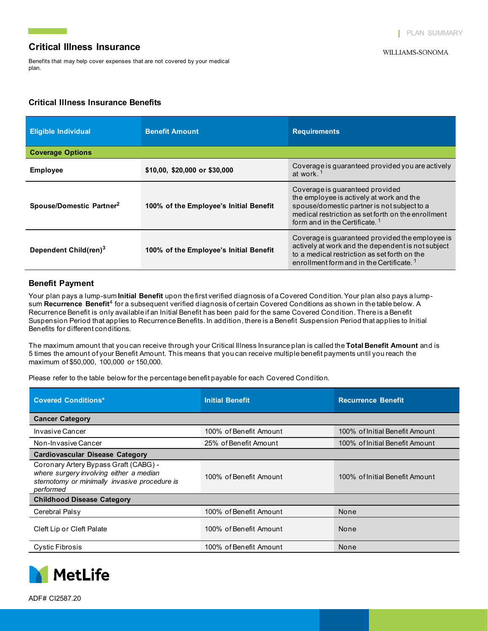Benefits that may help cover expenses that are not covered by your medical plan.

## **Critical Illness Insurance Benefits**

| <b>Eligible Individual</b>           | <b>Benefit Amount</b>                  | <b>Requirements</b>                                                                                                                                                                                                           |  |  |  |
|--------------------------------------|----------------------------------------|-------------------------------------------------------------------------------------------------------------------------------------------------------------------------------------------------------------------------------|--|--|--|
| <b>Coverage Options</b>              |                                        |                                                                                                                                                                                                                               |  |  |  |
| <b>Employee</b>                      | \$10,00, \$20,000 or \$30,000          | Coverage is quaranteed provided you are actively<br>at work. <sup>1</sup>                                                                                                                                                     |  |  |  |
| Spouse/Domestic Partner <sup>2</sup> | 100% of the Employee's Initial Benefit | Coverage is quaranteed provided<br>the employee is actively at work and the<br>spouse/domestic partner is not subject to a<br>medical restriction as set forth on the enrollment<br>form and in the Certificate. <sup>1</sup> |  |  |  |
| Dependent Child(ren) <sup>3</sup>    | 100% of the Employee's Initial Benefit | Coverage is guaranteed provided the employee is<br>actively at work and the dependent is not subject<br>to a medical restriction as set forth on the<br>enrollment form and in the Certificate.                               |  |  |  |

## **Benefit Payment**

Your plan pays a lump-sum **Initial Benefit** upon the first verified diagnosis of a Covered Condition. Your plan also pays a lumpsum **Recurrence Benefit**<sup>4</sup> for a subsequent verified diagnosis of certain Covered Conditions as shown in the table below. A Recurrence Benefit is only available if an Initial Benefit has been paid for the same Covered Condition. There is a Benefit Suspension Period that applies to Recurrence Benefits. In addition, there is a Benefit Suspension Period that applies to Initial Benefits for different conditions.

The maximum amount that you can receive through your Critical Illness Insurance plan is called the **Total Benefit Amount** and is 5 times the amount of your Benefit Amount. This means that you can receive multiple benefit payments until you reach the maximum of \$50,000, 100,000 or 150,000.

Please refer to the table below for the percentage benefit payable for each Covered Condition.

| <b>Covered Conditions*</b>                                                                                                                     | <b>Initial Benefit</b> | <b>Recurrence Benefit</b>      |  |  |  |
|------------------------------------------------------------------------------------------------------------------------------------------------|------------------------|--------------------------------|--|--|--|
| <b>Cancer Category</b>                                                                                                                         |                        |                                |  |  |  |
| Invasive Cancer                                                                                                                                | 100% of Benefit Amount | 100% of Initial Benefit Amount |  |  |  |
| Non-Invasive Cancer                                                                                                                            | 25% of Benefit Amount  | 100% of Initial Benefit Amount |  |  |  |
| <b>Cardiovascular Disease Category</b>                                                                                                         |                        |                                |  |  |  |
| Coronary Artery Bypass Graft (CABG) -<br>where surgery involving either a median<br>sternotomy or minimally invasive procedure is<br>performed | 100% of Benefit Amount | 100% of Initial Benefit Amount |  |  |  |
| <b>Childhood Disease Category</b>                                                                                                              |                        |                                |  |  |  |
| Cerebral Palsy                                                                                                                                 | 100% of Benefit Amount | None                           |  |  |  |
| Cleft Lip or Cleft Palate                                                                                                                      | 100% of Benefit Amount | None                           |  |  |  |
| <b>Cystic Fibrosis</b>                                                                                                                         | 100% of Benefit Amount | None                           |  |  |  |

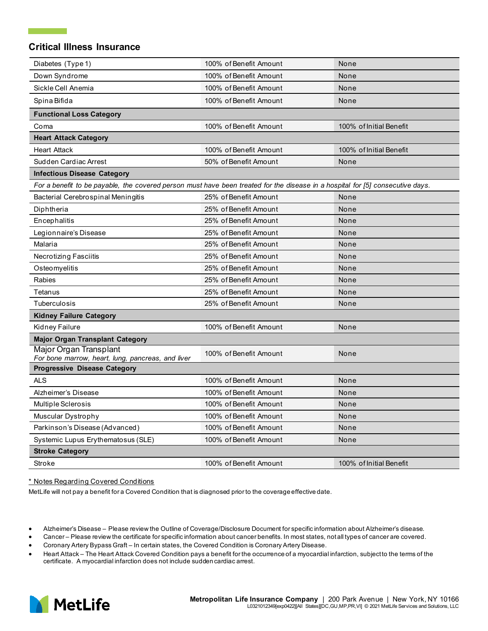| Diabetes (Type 1)                                                                                                              | 100% of Benefit Amount | None                    |  |
|--------------------------------------------------------------------------------------------------------------------------------|------------------------|-------------------------|--|
| Down Syndrome                                                                                                                  | 100% of Benefit Amount | None                    |  |
| Sickle Cell Anemia                                                                                                             | 100% of Benefit Amount | None                    |  |
| Spina Bifida                                                                                                                   | 100% of Benefit Amount | None                    |  |
| <b>Functional Loss Category</b>                                                                                                |                        |                         |  |
| Coma                                                                                                                           | 100% of Benefit Amount | 100% of Initial Benefit |  |
| <b>Heart Attack Category</b>                                                                                                   |                        |                         |  |
| <b>Heart Attack</b>                                                                                                            | 100% of Benefit Amount | 100% of Initial Benefit |  |
| Sudden Cardiac Arrest                                                                                                          | 50% of Benefit Amount  | None                    |  |
| <b>Infectious Disease Category</b>                                                                                             |                        |                         |  |
| For a benefit to be payable, the covered person must have been treated for the disease in a hospital for [5] consecutive days. |                        |                         |  |
| Bacterial Cerebrospinal Meningitis                                                                                             | 25% of Benefit Amount  | None                    |  |
| Diphtheria                                                                                                                     | 25% of Benefit Amount  | None                    |  |
| Encephalitis                                                                                                                   | 25% of Benefit Amount  | None                    |  |
| Legionnaire's Disease                                                                                                          | 25% of Benefit Amount  | None                    |  |
| Malaria                                                                                                                        | 25% of Benefit Amount  | None                    |  |
| Necrotizing Fasciitis                                                                                                          | 25% of Benefit Amount  | None                    |  |
| Osteomyelitis                                                                                                                  | 25% of Benefit Amount  | None                    |  |
| Rabies                                                                                                                         | 25% of Benefit Amount  | None                    |  |
| Tetanus                                                                                                                        | 25% of Benefit Amount  | None                    |  |
| Tuberculosis                                                                                                                   | 25% of Benefit Amount  | None                    |  |
| <b>Kidney Failure Category</b>                                                                                                 |                        |                         |  |
| Kidney Failure                                                                                                                 | 100% of Benefit Amount | None                    |  |
| <b>Major Organ Transplant Category</b>                                                                                         |                        |                         |  |
| Major Organ Transplant<br>For bone marrow, heart, lung, pancreas, and liver                                                    | 100% of Benefit Amount | None                    |  |
| <b>Progressive Disease Category</b>                                                                                            |                        |                         |  |
| <b>ALS</b>                                                                                                                     | 100% of Benefit Amount | None                    |  |
| Alzheimer's Disease                                                                                                            | 100% of Benefit Amount | None                    |  |
| Multiple Sclerosis                                                                                                             | 100% of Benefit Amount | None                    |  |
| Muscular Dystrophy                                                                                                             | 100% of Benefit Amount | None                    |  |
| Parkinson's Disease (Advanced)                                                                                                 | 100% of Benefit Amount | None                    |  |
| Systemic Lupus Erythematosus (SLE)                                                                                             | 100% of Benefit Amount | None                    |  |
| <b>Stroke Category</b>                                                                                                         |                        |                         |  |
| Stroke                                                                                                                         | 100% of Benefit Amount | 100% of Initial Benefit |  |

#### \* Notes Regarding Covered Conditions

MetLife will not pay a benefit for a Covered Condition that is diagnosed prior to the coverage effective date.

- Alzheimer's Disease Please review the Outline of Coverage/Disclosure Document for specific information about Alzheimer's disease.
- Cancer Please review the certificate for specific information about cancer benefits. In most states, not all types of cancer are covered.
- Coronary Artery Bypass Graft In certain states, the Covered Condition is Coronary Artery Disease.
- Heart Attack The Heart Attack Covered Condition pays a benefit for the occurrence of a myocardial infarction, subject to the terms of the certificate. A myocardial infarction does not include sudden cardiac arrest.

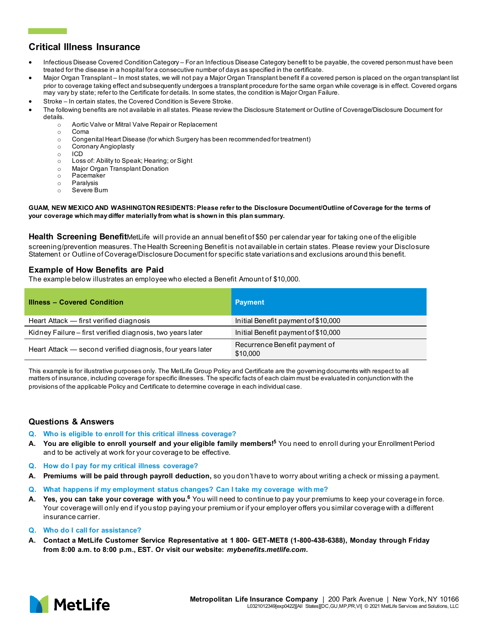- Infectious Disease Covered Condition Category For an Infectious Disease Category benefit to be payable, the covered person must have been treated for the disease in a hospital for a consecutive number of days as specified in the certificate.
- Major Organ Transplant In most states, we will not pay a Major Organ Transplant benefit if a covered person is placed on the organ transplant list prior to coverage taking effect and subsequently undergoes a transplant procedure for the same organ while coverage is in effect. Covered organs may vary by state; refer to the Certificate for details. In some states, the condition is Major Organ Failure.
- Stroke In certain states, the Covered Condition is Severe Stroke.
- The following benefits are not available in all states. Please review the Disclosure Statement or Outline of Coverage/Disclosure Document for details.
	- $\circ$  Aortic Valve or Mitral Valve Repair or Replacement<br> $\circ$  Coma
	- Coma
	- $\circ$  Congenital Heart Disease (for which Surgery has been recommended for treatment)<br> $\circ$  Coronary Angioplasty
	- o Coronary Angioplasty
	- o ICD
	- Loss of: Ability to Speak; Hearing; or Sight
	- o Major Organ Transplant Donation
	- Pacemaker
	- o Paralysis<br>o Severe B
	- Severe Burn

#### **GUAM, NEW MEXICO AND WASHINGTON RESIDENTS: Please refer to the Disclosure Document/Outline of Coverage for the terms of your coverage which may differ materially from what is shown in this plan summary.**

**Health Screening Benefit**MetLife will provide an annual benefit of \$50 per calendar year for taking one of the eligible screening/prevention measures. The Health Screening Benefit is not available in certain states. Please review your Disclosure Statement or Outline of Coverage/Disclosure Document for specific state variations and exclusions around this benefit.

## **Example of How Benefits are Paid**

The example below illustrates an employee who elected a Benefit Amount of \$10,000.

| <b>Illness - Covered Condition</b>                         | <b>Payment</b>                            |
|------------------------------------------------------------|-------------------------------------------|
| Heart Attack – first verified diagnosis                    | Initial Benefit payment of \$10,000       |
| Kidney Failure – first verified diagnosis, two years later | Initial Benefit payment of \$10,000       |
| Heart Attack – second verified diagnosis, four years later | Recurrence Benefit payment of<br>\$10,000 |

This example is for illustrative purposes only. The MetLife Group Policy and Certificate are the governing documents with respect to all matters of insurance, including coverage for specific illnesses. The specific facts of each claim must be evaluated in conjunction with the provisions of the applicable Policy and Certificate to determine coverage in each individual case.

### **Questions & Answers**

- **Q. Who is eligible to enroll for this critical illness coverage?**
- **A. You are eligible to enroll yourself and your eligible family members! <sup>5</sup>**You need to enroll during your Enrollment Period and to be actively at work for your coverage to be effective.
- **Q. How do I pay for my critical illness coverage?**
- **A. Premiums will be paid through payroll deduction,** so you don't have to worry about writing a check or missing a payment.
- **Q. What happens if my employment status changes? Can I take my coverage with me?**
- **A. Yes, you can take your coverage with you.6** You will need to continue to pay your premiums to keep your coverage in force. Your coverage will only end if you stop paying your premium or if your employer offers you similar coverage with a different insurance carrier.
- **Q. Who do I call for assistance?**
- **A. Contact a MetLife Customer Service Representative at 1 800- GET-MET8 (1-800-438-6388), Monday through Friday from 8:00 a.m. to 8:00 p.m., EST. Or visit our website:** *mybenefits.metlife.com***.**